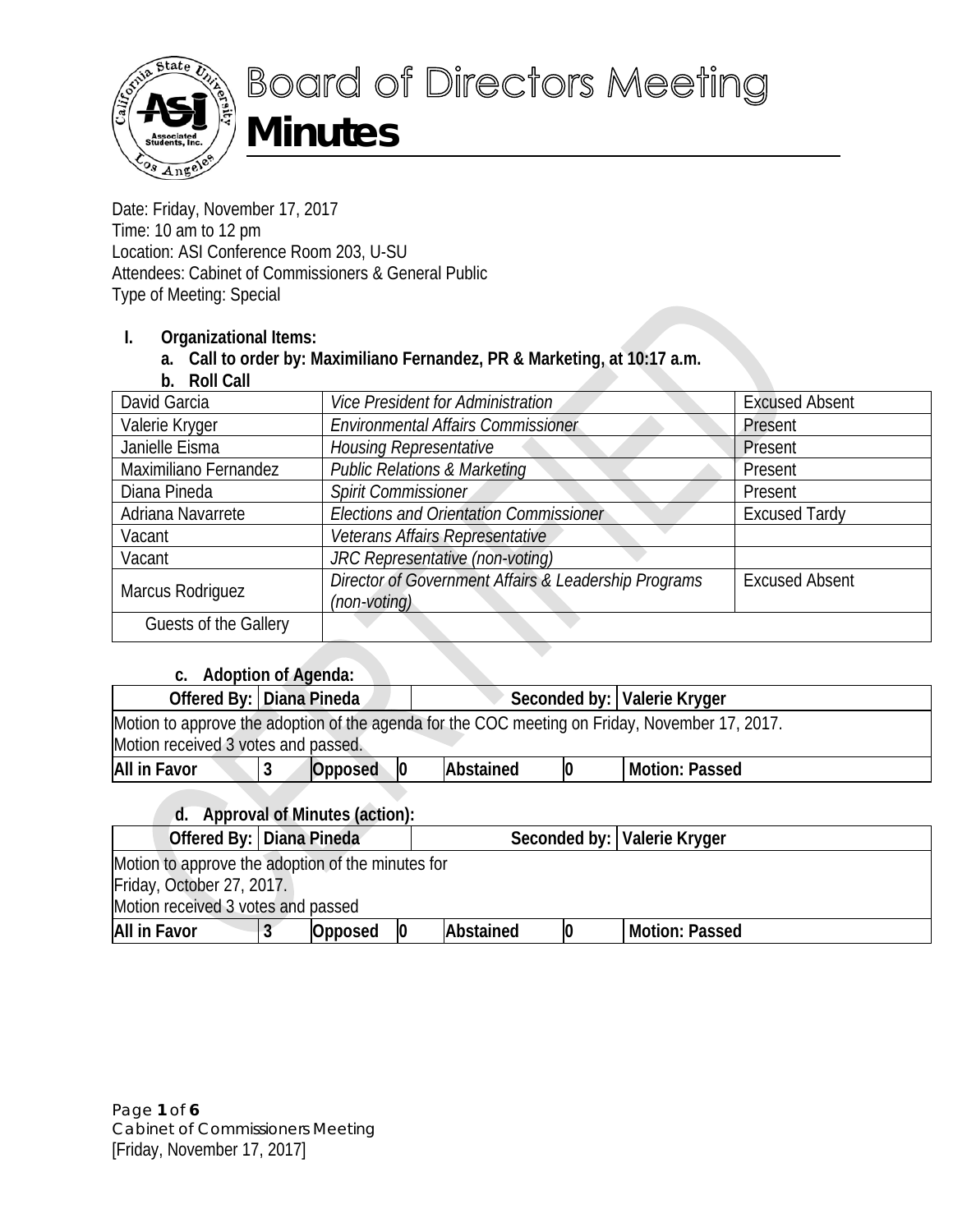

Date: Friday, November 17, 2017 Time: 10 am to 12 pm Location: ASI Conference Room 203, U-SU Attendees: Cabinet of Commissioners & General Public Type of Meeting: Special

### **I. Organizational Items:**

**a. Call to order by: Maximiliano Fernandez, PR & Marketing, at 10:17 a.m.**

**b. Roll Call**

| David Garcia          | <b>Vice President for Administration</b>                             | <b>Excused Absent</b> |
|-----------------------|----------------------------------------------------------------------|-----------------------|
| Valerie Kryger        | <b>Environmental Affairs Commissioner</b>                            | Present               |
| Janielle Eisma        | <b>Housing Representative</b>                                        | Present               |
| Maximiliano Fernandez | <b>Public Relations &amp; Marketing</b>                              | Present               |
| Diana Pineda          | Spirit Commissioner                                                  | Present               |
| Adriana Navarrete     | <b>Elections and Orientation Commissioner</b>                        | <b>Excused Tardy</b>  |
| Vacant                | Veterans Affairs Representative                                      |                       |
| Vacant                | JRC Representative (non-voting)                                      |                       |
| Marcus Rodriguez      | Director of Government Affairs & Leadership Programs<br>(non-voting) | <b>Excused Absent</b> |
| Guests of the Gallery |                                                                      |                       |

# **c. Adoption of Agenda:**

| $\alpha$ . Agoption of Agonda.                                                                                                        |  |                          |  |           |    |                               |  |  |
|---------------------------------------------------------------------------------------------------------------------------------------|--|--------------------------|--|-----------|----|-------------------------------|--|--|
|                                                                                                                                       |  | Offered By: Diana Pineda |  |           |    | Seconded by:   Valerie Kryger |  |  |
| Motion to approve the adoption of the agenda for the COC meeting on Friday, November 17, 2017.<br>Motion received 3 votes and passed. |  |                          |  |           |    |                               |  |  |
| All in Favor                                                                                                                          |  | Opposed                  |  | Abstained | 10 | <b>Motion: Passed</b>         |  |  |
|                                                                                                                                       |  |                          |  |           |    |                               |  |  |

# **d. Approval of Minutes (action):**

| Offered By:   Diana Pineda                        |                           |         |    |           |  | Seconded by:   Valerie Kryger |  |
|---------------------------------------------------|---------------------------|---------|----|-----------|--|-------------------------------|--|
| Motion to approve the adoption of the minutes for |                           |         |    |           |  |                               |  |
|                                                   | Friday, October 27, 2017. |         |    |           |  |                               |  |
| Motion received 3 votes and passed                |                           |         |    |           |  |                               |  |
| All in Favor                                      |                           | Opposed | 10 | Abstained |  | Motion: Passed                |  |

Page **1** of **6** Cabinet of Commissioners Meeting [Friday, November 17, 2017]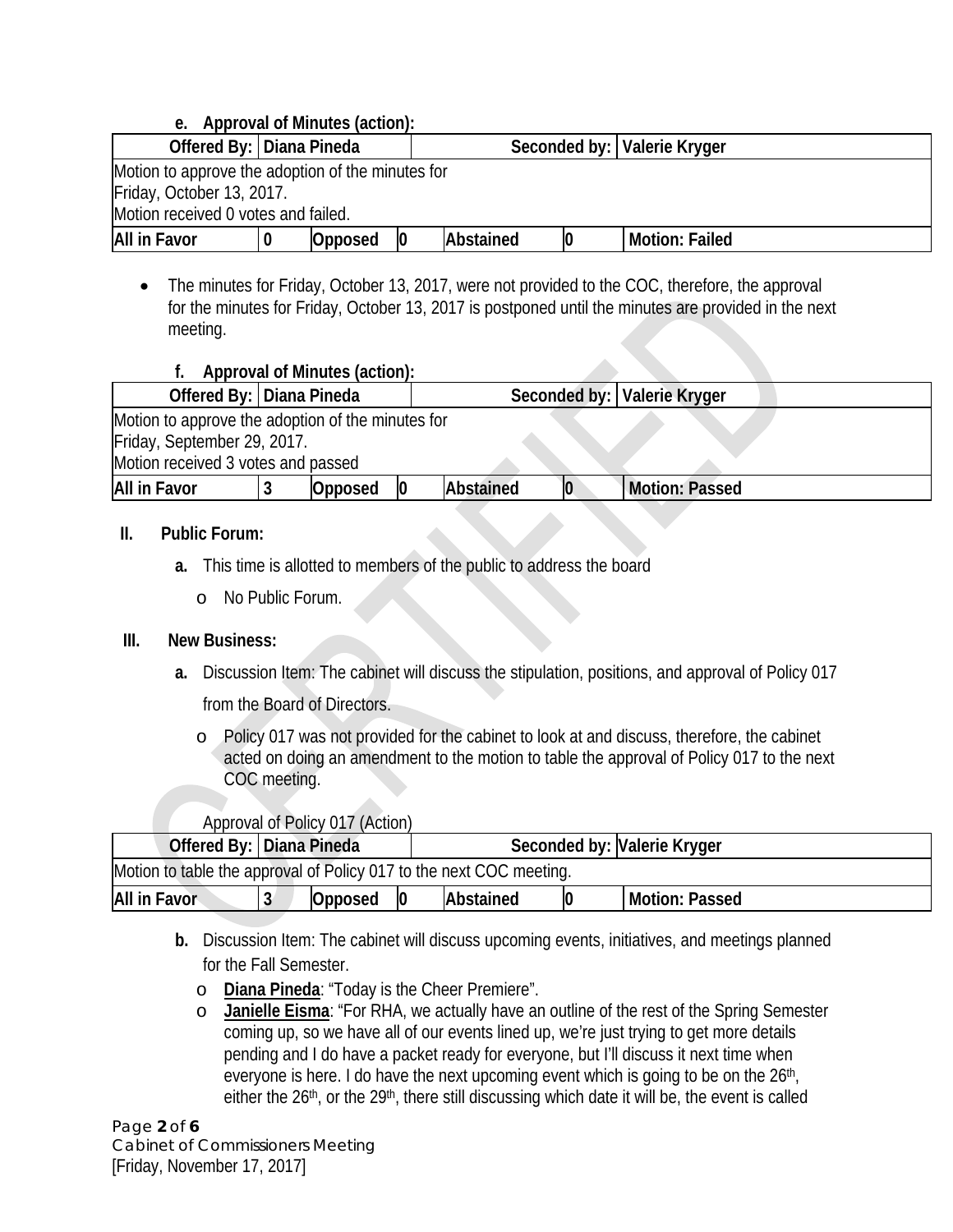| e. Approval of Minutes (action):                  |                           |         |    |           |  |                               |  |
|---------------------------------------------------|---------------------------|---------|----|-----------|--|-------------------------------|--|
| Offered By: Diana Pineda                          |                           |         |    |           |  | Seconded by:   Valerie Kryger |  |
| Motion to approve the adoption of the minutes for |                           |         |    |           |  |                               |  |
|                                                   | Friday, October 13, 2017. |         |    |           |  |                               |  |
| Motion received 0 votes and failed.               |                           |         |    |           |  |                               |  |
| All in Favor                                      |                           | Opposed | 10 | Abstained |  | <b>Motion: Failed</b>         |  |

• The minutes for Friday, October 13, 2017, were not provided to the COC, therefore, the approval for the minutes for Friday, October 13, 2017 is postponed until the minutes are provided in the next meeting.

|                                                   |                                                             | Approval of Minutes (action): |  |           |  |                       |  |  |
|---------------------------------------------------|-------------------------------------------------------------|-------------------------------|--|-----------|--|-----------------------|--|--|
|                                                   | Offered By:   Diana Pineda<br>Seconded by:   Valerie Kryger |                               |  |           |  |                       |  |  |
| Motion to approve the adoption of the minutes for |                                                             |                               |  |           |  |                       |  |  |
| Friday, September 29, 2017.                       |                                                             |                               |  |           |  |                       |  |  |
| Motion received 3 votes and passed                |                                                             |                               |  |           |  |                       |  |  |
| <b>All in Favor</b>                               |                                                             | Opposed                       |  | Abstained |  | <b>Motion: Passed</b> |  |  |
|                                                   |                                                             |                               |  |           |  |                       |  |  |

### **II. Public Forum:**

- **a.** This time is allotted to members of the public to address the board
	- o No Public Forum.

# **III. New Business:**

- **a.** Discussion Item: The cabinet will discuss the stipulation, positions, and approval of Policy 017 from the Board of Directors.
	- o Policy 017 was not provided for the cabinet to look at and discuss, therefore, the cabinet acted on doing an amendment to the motion to table the approval of Policy 017 to the next COC meeting.

# Approval of Policy 017 (Action)

|                                                                                  | Offered By:   Diana Pineda |  |  |  | Seconded by: Valerie Kryger |  |  |
|----------------------------------------------------------------------------------|----------------------------|--|--|--|-----------------------------|--|--|
| Motion to table the approval of Policy 017 to the next COC meeting.              |                            |  |  |  |                             |  |  |
| All in Favor<br>$\boldsymbol{0}$<br>Abstained<br>Opposed<br>Motion: Passed<br>10 |                            |  |  |  |                             |  |  |

- **b.** Discussion Item: The cabinet will discuss upcoming events, initiatives, and meetings planned for the Fall Semester.
	- o **Diana Pineda**: "Today is the Cheer Premiere".
	- o **Janielle Eisma**: "For RHA, we actually have an outline of the rest of the Spring Semester coming up, so we have all of our events lined up, we're just trying to get more details pending and I do have a packet ready for everyone, but I'll discuss it next time when everyone is here. I do have the next upcoming event which is going to be on the 26<sup>th</sup>, either the 26<sup>th</sup>, or the 29<sup>th</sup>, there still discussing which date it will be, the event is called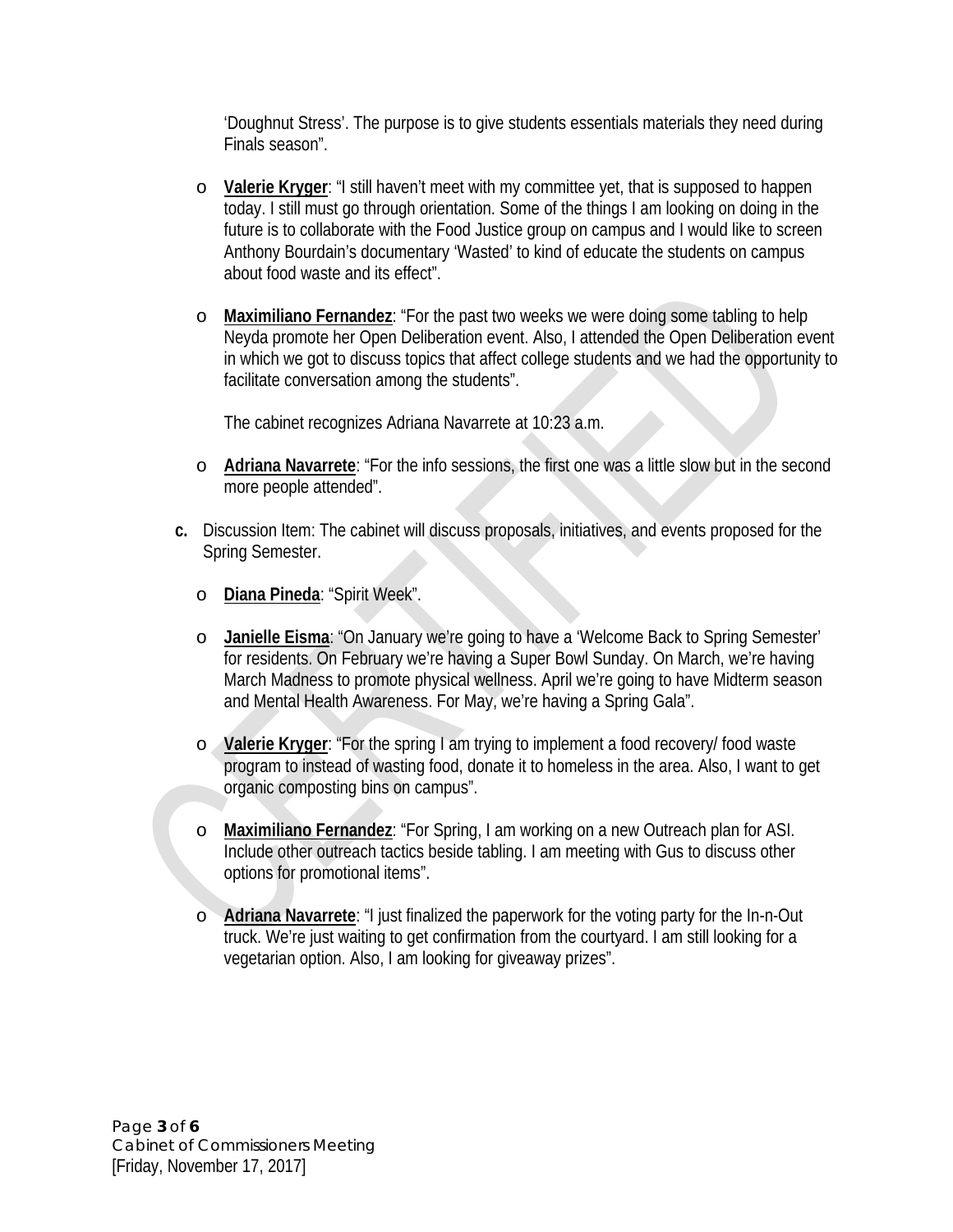'Doughnut Stress'. The purpose is to give students essentials materials they need during Finals season".

- o **Valerie Kryger**: "I still haven't meet with my committee yet, that is supposed to happen today. I still must go through orientation. Some of the things I am looking on doing in the future is to collaborate with the Food Justice group on campus and I would like to screen Anthony Bourdain's documentary 'Wasted' to kind of educate the students on campus about food waste and its effect".
- o **Maximiliano Fernandez**: "For the past two weeks we were doing some tabling to help Neyda promote her Open Deliberation event. Also, I attended the Open Deliberation event in which we got to discuss topics that affect college students and we had the opportunity to facilitate conversation among the students".

The cabinet recognizes Adriana Navarrete at 10:23 a.m.

- o **Adriana Navarrete**: "For the info sessions, the first one was a little slow but in the second more people attended".
- **c.** Discussion Item: The cabinet will discuss proposals, initiatives, and events proposed for the Spring Semester.
	- o **Diana Pineda**: "Spirit Week".
	- o **Janielle Eisma**: "On January we're going to have a 'Welcome Back to Spring Semester' for residents. On February we're having a Super Bowl Sunday. On March, we're having March Madness to promote physical wellness. April we're going to have Midterm season and Mental Health Awareness. For May, we're having a Spring Gala".
	- o **Valerie Kryger**: "For the spring I am trying to implement a food recovery/ food waste program to instead of wasting food, donate it to homeless in the area. Also, I want to get organic composting bins on campus".
	- o **Maximiliano Fernandez**: "For Spring, I am working on a new Outreach plan for ASI. Include other outreach tactics beside tabling. I am meeting with Gus to discuss other options for promotional items".
	- o **Adriana Navarrete**: "I just finalized the paperwork for the voting party for the In-n-Out truck. We're just waiting to get confirmation from the courtyard. I am still looking for a vegetarian option. Also, I am looking for giveaway prizes".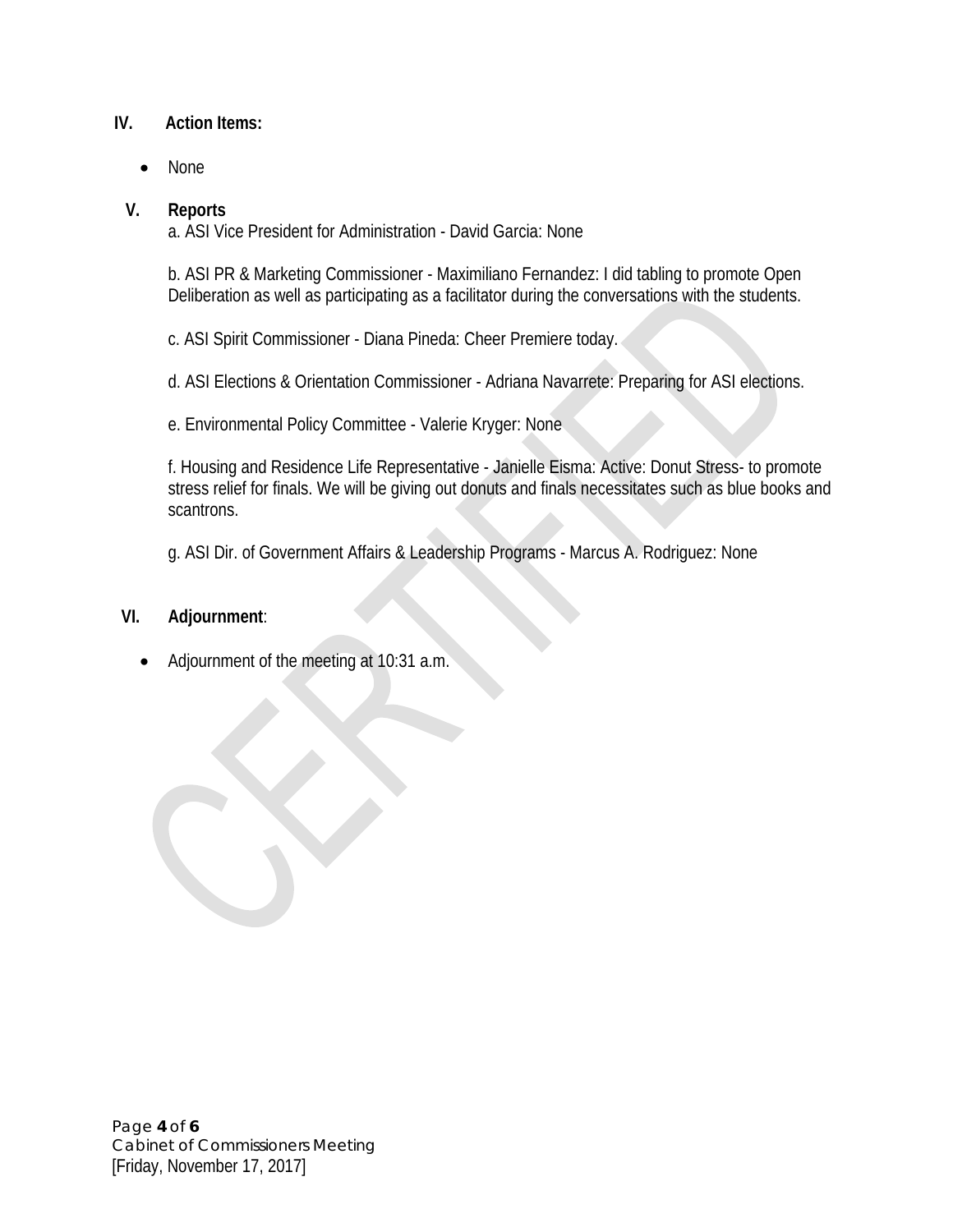### **IV. Action Items:**

• None

#### **V. Reports**

a. ASI Vice President for Administration - David Garcia: None

b. ASI PR & Marketing Commissioner - Maximiliano Fernandez: I did tabling to promote Open Deliberation as well as participating as a facilitator during the conversations with the students.

c. ASI Spirit Commissioner - Diana Pineda: Cheer Premiere today.

d. ASI Elections & Orientation Commissioner - Adriana Navarrete: Preparing for ASI elections.

e. Environmental Policy Committee - Valerie Kryger: None

f. Housing and Residence Life Representative - Janielle Eisma: Active: Donut Stress- to promote stress relief for finals. We will be giving out donuts and finals necessitates such as blue books and scantrons.

g. ASI Dir. of Government Affairs & Leadership Programs - Marcus A. Rodriguez: None

#### **VI. Adjournment**:

• Adjournment of the meeting at 10:31 a.m.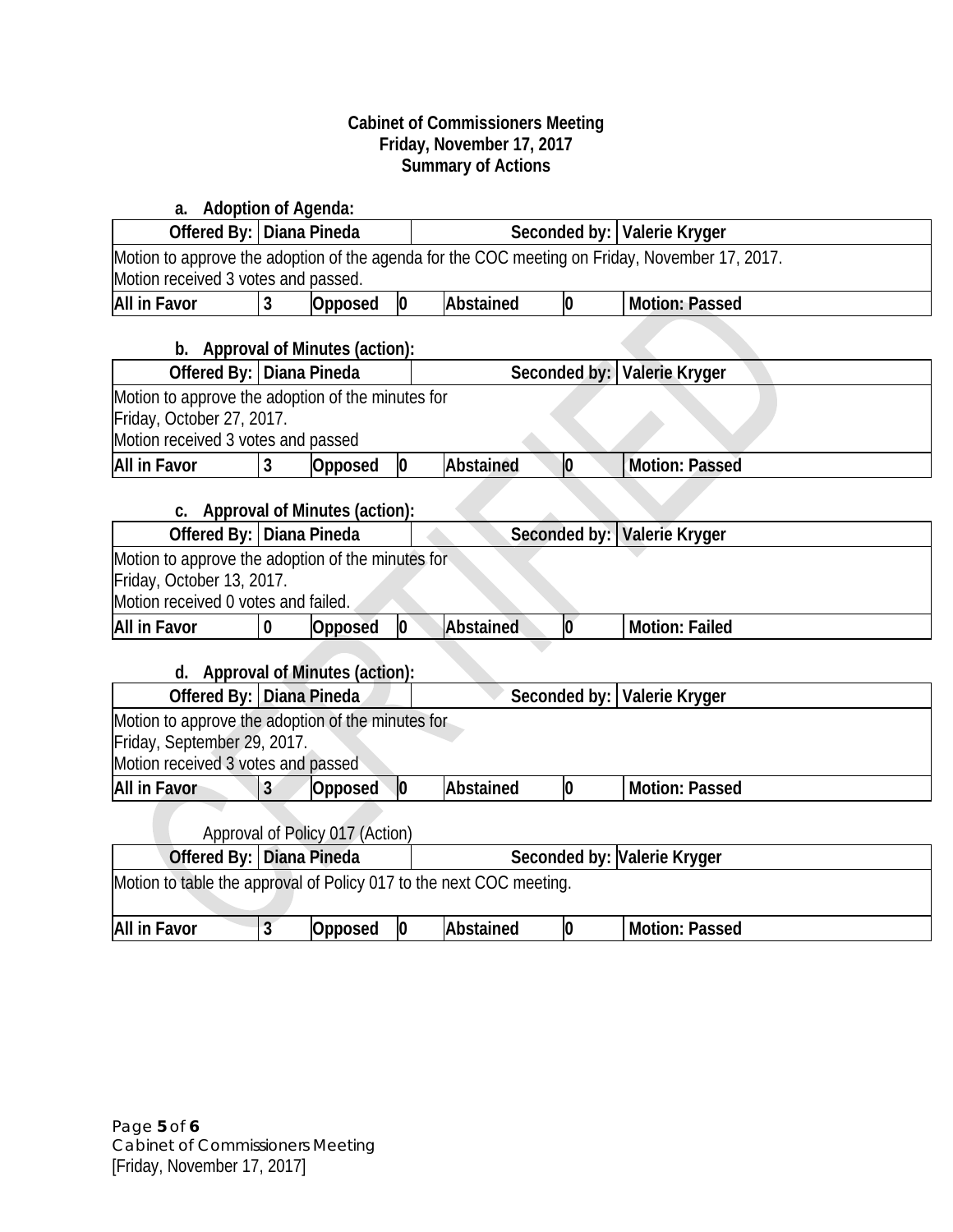#### **Cabinet of Commissioners Meeting Friday, November 17, 2017 Summary of Actions**

| a. Adoption of Agenda:                                              |                            |                                      |                 |                  |              |                                                                                                |
|---------------------------------------------------------------------|----------------------------|--------------------------------------|-----------------|------------------|--------------|------------------------------------------------------------------------------------------------|
|                                                                     | Offered By:   Diana Pineda |                                      |                 |                  |              | Seconded by:   Valerie Kryger                                                                  |
|                                                                     |                            |                                      |                 |                  |              | Motion to approve the adoption of the agenda for the COC meeting on Friday, November 17, 2017. |
| Motion received 3 votes and passed.                                 |                            |                                      |                 |                  |              |                                                                                                |
| <b>All in Favor</b>                                                 | $\mathbf{3}$               | Opposed                              | 0               | <b>Abstained</b> | $\mathbf 0$  | <b>Motion: Passed</b>                                                                          |
|                                                                     |                            | b. Approval of Minutes (action):     |                 |                  |              |                                                                                                |
| Offered By: Diana Pineda                                            |                            |                                      |                 |                  | Seconded by: | Valerie Kryger                                                                                 |
| Motion to approve the adoption of the minutes for                   |                            |                                      |                 |                  |              |                                                                                                |
| Friday, October 27, 2017.                                           |                            |                                      |                 |                  |              |                                                                                                |
| Motion received 3 votes and passed                                  |                            |                                      |                 |                  |              |                                                                                                |
| <b>All in Favor</b>                                                 | 3                          | Opposed                              | 0               | Abstained        | 0            | <b>Motion: Passed</b>                                                                          |
| C.                                                                  |                            | Approval of Minutes (action):        |                 |                  |              |                                                                                                |
| Offered By: Diana Pineda                                            |                            |                                      |                 |                  |              | Seconded by: Valerie Kryger                                                                    |
| Motion to approve the adoption of the minutes for                   |                            |                                      |                 |                  |              |                                                                                                |
| Friday, October 13, 2017.                                           |                            |                                      |                 |                  |              |                                                                                                |
| Motion received 0 votes and failed.                                 |                            |                                      |                 |                  |              |                                                                                                |
| <b>All in Favor</b>                                                 | $\bf{0}$                   | Opposed                              | $\overline{0}$  | Abstained        | lo           | <b>Motion: Failed</b>                                                                          |
| d.                                                                  |                            | <b>Approval of Minutes (action):</b> |                 |                  |              |                                                                                                |
| Offered By: Diana Pineda                                            |                            |                                      |                 |                  | Seconded by: | Valerie Kryger                                                                                 |
| Motion to approve the adoption of the minutes for                   |                            |                                      |                 |                  |              |                                                                                                |
| Friday, September 29, 2017.                                         |                            |                                      |                 |                  |              |                                                                                                |
| Motion received 3 votes and passed                                  |                            |                                      |                 |                  |              |                                                                                                |
| <b>All in Favor</b>                                                 | $\overline{3}$             | Opposed                              | $ 0\rangle$     | Abstained        | 0            | <b>Motion: Passed</b>                                                                          |
|                                                                     |                            |                                      |                 |                  |              |                                                                                                |
| Approval of Policy 017 (Action)<br>Offered By: Diana Pineda         |                            |                                      |                 |                  |              | Seconded by: Valerie Kryger                                                                    |
| Motion to table the approval of Policy 017 to the next COC meeting. |                            |                                      |                 |                  |              |                                                                                                |
|                                                                     |                            |                                      |                 |                  |              |                                                                                                |
| <b>All in Favor</b>                                                 | $\overline{3}$             | <b>Opposed</b>                       | $\vert 0 \vert$ | Abstained        | 0            | <b>Motion: Passed</b>                                                                          |